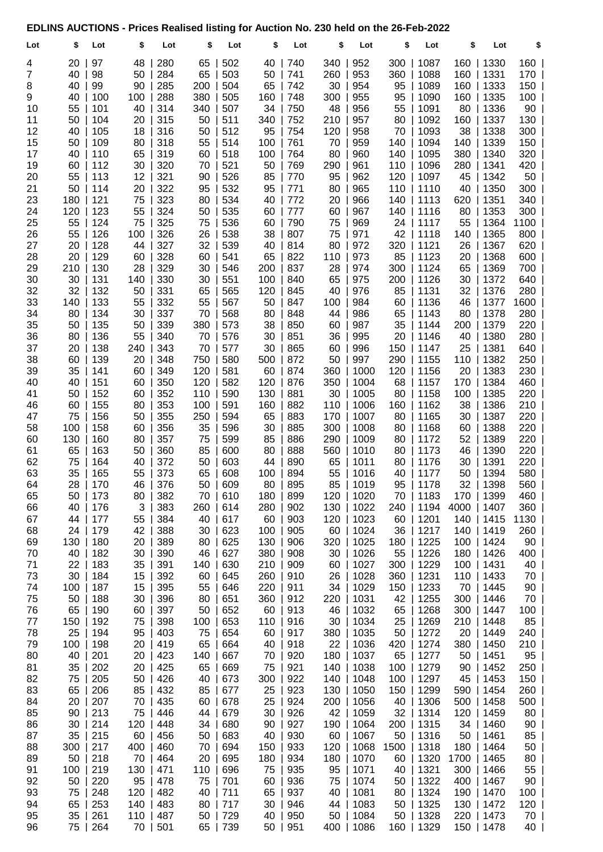## EDLINS AUCTIONS - Prices Realised listing for Auction No. 230 held on the 26-Feb-2022

| Lot            | \$              | Lot         | \$       | Lot             | \$       | Lot         | \$       | Lot        | \$       | Lot                     | \$          | Lot                     | \$          | Lot                     | \$              |
|----------------|-----------------|-------------|----------|-----------------|----------|-------------|----------|------------|----------|-------------------------|-------------|-------------------------|-------------|-------------------------|-----------------|
| 4              | 20              | 97          | 48       | 280             | 65       | 502         | 40       | 740        | 340      | 952                     |             | 300   1087              |             | 160   1330              | $160$           |
| $\overline{7}$ | 40              | 98          | 50       | 284             | 65       | 503         | 50       | 741        | 260      | 953                     |             | 360   1088              | 160         | 1331                    | 170             |
| 8              | 40              | 99          | 90       | 285             | 200      | 504         | 65       | 742        | 30       | 954                     |             | 95   1089               | 160         | 1333                    | 150             |
| 9              | 40              | 100         | 100      | 288             | 380      | 505         | 160      | 748        | 300      | 955                     |             | 95   1090               | 160         | 1335                    | 100             |
| 10             | 55              | 101         | 40       | 314             | 340      | 507         | 34       | 750        | 48       | 956                     |             | 55   1091               |             | 80   1336               | 90              |
| 11             | 50              | 104         | 20       | 315             | 50       | 511         | 340      | 752        | 210      | 957                     |             | 80   1092               | 160         | 1337                    | 130             |
| 12             | 40              | 105         | 18       | 316             | 50       | 512         | 95       | 754        | 120      | 958                     |             | 70   1093               | 38          | 1338                    | 300             |
| 15             | 50              | 109         | 80       | 318             | 55       | 514         | 100      | 761        | 70       | 959                     |             | 140   1094              | 140         | 1339                    | 150             |
| 17             | 40              | 110         | 65       | 319             | 60       | 518         | 100      | 764        | 80       | 960                     |             | 140   1095              |             | 380   1340              | 320             |
| 19             | 60              | 112         | 30       | 320             | 70       | 521         | 50       | 769        | 290      | 961                     |             | 110   1096              | 280         | 1341                    | 420             |
| 20             | $55$            | 113         | 12       | 321             | 90       | 526         | 85       | 770        | 95       | 962                     |             | 120   1097              | 45          | 1342                    | 50              |
| 21             |                 | $50$   114  | 20       | 322             | 95       | 532         | 95       | 771        | 80       | 965                     |             | 110   1110              | 40          | 1350                    | 300             |
| 23             | 180             | 121         | 75       | 323             | 80       | 534         | 40       | 772        | 20       | 966                     |             | 140   1113              | 620         | 1351                    | 340             |
| 24<br>25       | 120<br>55       | 123<br>124  | 55<br>75 | 324<br>325      | 50<br>75 | 535<br>536  | 60<br>60 | 777<br>790 | 60<br>75 | 967<br>969              |             | 140   1116<br>24   1117 | 80<br>55    | 1353<br> 1364           | $300$  <br>1100 |
| 26             | 55              | 126         | 100      | 326             | 26       | 538         | 38       | 807        | 75       | 971                     |             | 42   1118               | 140         | 1365                    | 800             |
| 27             | 20              | 128         | 44       | 327             | 32       | 539         | 40       | 814        | 80       | 972                     |             | 320   1121              | 26          | 1367                    | $620$           |
| 28             | 20              | 129         | 60       | 328             | 60       | 541         | 65       | 822        | 110      | 973                     |             | 85   1123               | 20          | 1368                    | 600             |
| 29             | 210             | 130         | 28       | 329             | 30       | 546         | 200      | 837        | 28       | 974                     |             | 300   1124              | 65          | 1369                    | 700             |
| 30             | 30              | 131         | 140      | 330             | 30       | 551         | 100      | 840        | 65       | 975                     |             | 200   1126              | 30          | 1372                    | 640             |
| 32             | $32$            | 132         | 50       | 331             | 65       | 565         | 120      | 845        | 40       | 976                     |             | 85   1131               |             | 32   1376               | 280             |
| 33             | 140             | 133         | 55       | 332             | 55       | 567         | 50       | 847        | 100      | 984                     |             | 60   1136               | 46          | 1377                    | 1600            |
| 34             | 80              | 134         | 30       | 337             | 70       | 568         | 80       | 848        | 44       | 986                     |             | $65$   1143             | 80          | 1378                    | 280             |
| 35             | 50              | $\vert$ 135 | 50       | 339             | 380      | 573         | 38       | 850        | 60       | 987                     |             | $35 \mid 1144$          | 200         | 1379                    | 220             |
| 36             | 80              | 136         | 55       | 340             | 70       | 576         | 30       | 851        | 36       | 995                     |             | 20   1146               | 40          | 1380                    | 280             |
| 37             | 20              | 138         | 240      | 343             | 70       | 577         | 30       | 865        | 60       | 996                     |             | 150   1147              | 25          | 1381                    | 640             |
| 38             | 60              | 139         | 20       | 348             | 750      | 580         | 500      | 872        | 50       | 997                     |             | 290   1155              | 110         | 1382                    | 250             |
| 39             |                 | $35$   141  | 60       | 349             | 120      | 581         | 60       | 874        | 360      | 1000                    |             | 120   1156              | 20          | 1383                    | 230             |
| 40             | 40              | 151         | 60       | 350             | 120      | 582         | 120      | 876        |          | 350   1004              |             | 68   1157               |             | 170   1384              | 460             |
| 41             | 50              | 152         | 60       | 352             | 110      | 590         | 130      | 881        |          | 30   1005               |             | 80   1158               | 100         | 1385                    | 220             |
| 46             | 60              | 155         | 80       | 353             | 100      | 591         | 160      | 882        |          | 110   1006              |             | 160   1162              | 38          | 1386                    | 210             |
| 47             | 75              | 156         | 50       | 355             | 250      | 594         | 65       | 883        |          | 170   1007              |             | 80   1165               | 30          | 1387                    | 220             |
| 58             | 100             | 158         | 60       | 356             | 35       | 596         | 30       | 885        | 300      | 1008                    |             | $80$   1168             | 60          | 1388                    | 220             |
| 60<br>61       | 130<br>65       | 160<br>163  | 80<br>50 | 357<br>360      | 75<br>85 | 599<br>600  | 85<br>80 | 886<br>888 | 560      | 290   1009<br> 1010     |             | 80   1172<br>80   1173  | 52<br>46    | 1389<br>1390            | 220<br>220      |
| 62             | 75              | 164         | 40       | 372             | 50       | 603         | 44       | 890        | 65       | 1011                    |             | 80   1176               | 30          | 1391                    | 220             |
| 63             | 35              | 165         | 55       | 373             | 65       | 608         | 100      | 894        | 55       | 1016                    |             | 40   1177               | 50          | 1394                    | 580             |
| 64             |                 | 28   170    | 46 I     | 376             | 50       | 609         | 80       | 895        |          | $85$   1019             |             | $95 \mid 1178$          |             | 32   1398               | 560             |
| 65             | 50              | 173         | 80       | 382             | 70       | 610         | 180      | 899        |          | 120   1020              |             | 70   1183               |             | 170   1399              | 460             |
| 66             | 40              | 176         | 3        | 383             | 260      | 614         | 280      | 902        |          | 130   1022              |             | 240   1194              | 4000   1407 |                         | 360             |
| 67             | 44              | 177         | 55       | 384             | 40       | 617         | 60       | 903        |          | 120   1023              |             | $60$   1201             |             | 140   1415              | 1130            |
| 68             | 24              | 179         | $42$     | 388             | 30       | $\vert$ 623 | 100      | 905        |          | 60   1024               |             | 36   1217               |             | 140   1419              | 260             |
| 69             | 130             | 180         | 20       | 389             | 80       | 625         | 130      | 906        |          | 320   1025              |             | 180   1225              |             | 100   1424              | 90              |
| 70             | 40              | 182         | 30       | 390             | 46       | 627         | 380      | 908        | 30       | 1026                    |             | 55   1226               |             | 180   1426              | 400             |
| 71             | $22 \mid$       | 183         | 35       | $\vert$ 391     | 140      | 630         | 210      | 909        | 60       | 1027                    |             | 300   1229              |             | 100   1431              | 40              |
| 73             | 30 <sup>1</sup> | 184         | 15       | 392             | 60       | $\mid$ 645  | 260      | 910        |          | 26   1028               |             | 360   1231              |             | 110   1433              | 70              |
| 74             | $100 \mid$      | 187         | 15       | 395             | 55       | 646         | 220      | 911        |          | 34   1029               |             | 150   1233              |             | 70   1445               | 90              |
| 75             |                 | 50   188    | 30       | 396             | 80       | 651         | 360      | 912        |          | 220   1031              |             | 42   1255               |             | 300   1446              | 70              |
| 76             |                 | 65   190    | 60       | $\vert$ 397     | 50       | 652         | 60       | 913        | 46       | 1032                    |             | 65   1268               |             | 300   1447              | 100             |
| 77             | 150             | 192         | 75       | 398             |          | 100   653   | 110      | 916        |          | 30   1034               |             | 25   1269               |             | 210   1448              | 85              |
| 78<br>79       | 25<br>100       | 194<br>198  | 95       | 403<br>20   419 | 75<br>65 | 654<br>664  | 60<br>40 | 917<br>918 |          | 380   1035<br>22   1036 |             | 50   1272<br>420   1274 |             | 20   1449<br>380   1450 | 240  <br>$210$  |
| 80             |                 | 40   201    |          | 20   423        | 140      | 667         | 70       | 920        | 180      | 1037                    |             | 65   1277               |             | $50$   1451             | 95              |
| 81             | $35 \mid$       | 202         | 20       | $\vert$ 425     | 65       | 669         | 75       | 921        |          | 140   1038              |             | 100   1279              |             | $90$   1452             | $250$           |
| 82             | 75              | 205         | 50       | 426             | 40       | 673         | 300      | 922        |          | 140   1048              |             | 100   1297              |             | 45   1453               | $150$           |
| 83             | 65              | 206         | 85       | 432             | 85       | 677         | 25       | 923        |          | 130   1050              |             | 150   1299              |             | 590   1454              | 260             |
| 84             | 20              | 207         | 70       | 435             | 60       | 678         | 25       | 924        |          | 200   1056              |             | 40   1306               |             | 500   1458              | 500             |
| 85             | 90              | 213         | 75       | 446             |          | 44   679    | 30       | 926        |          | 42   1059               |             | $32$   1314             |             | 120   1459              | 80              |
| 86             | $30$            | 214         | 120      | 448             | 34       | 680         | 90       | 927        |          | 190   1064              |             | 200   1315              |             | 34   1460               | 90              |
| 87             | 35              | 215         | 60       | 456             | 50       | 683         | 40       | 930        | 60       | 1067                    |             | $50$   1316             |             | $50$   1461             | 85              |
| 88             | 300             | 217         | 400      | 460             | 70       | 694         | 150      | 933        | 120      | 1068                    | 1500   1318 |                         |             | 180   1464              | 50              |
| 89             |                 | 50   218    | 70       | $\vert$ 464     | 20       | 695         | 180      | 934        |          | 180   1070              |             | 60   1320               | 1700   1465 |                         | 80              |
| 91             | 100             | 219         | 130      | 471             | 110      | 696         | 75       | 935        | 95       | 1071                    |             | 40   1321               |             | $300$   1466            | 55              |
| 92             | 50              | 220         | 95       | 478             | 75       | 701         | 60       | 936        | 75       | 1074                    |             | 50   1322               |             | 400   1467              | 90              |
| 93             | 75              | 248         | 120      | 482             | 40       | 711         | 65       | 937        | 40       | 1081                    |             | 80   1324               |             | 190   1470              | 100             |
| 94             | 65              | 253         | 140      | 483             |          | 80   717    | 30       | 946        |          | 44   1083               |             | 50   1325               |             | 130   1472              | $120$           |
| 95             | $35 \mid$       | 261         |          | 110   487       |          | 50   729    | 40       | 950        |          | 50   1084               |             | 50   1328               |             | 220   1473              | 70              |
| 96             | 75              | 264         |          | 70   501        |          | 65   739    | 50       | 951        |          | 400   1086              |             | 160   1329              |             | 150   1478              | 40              |